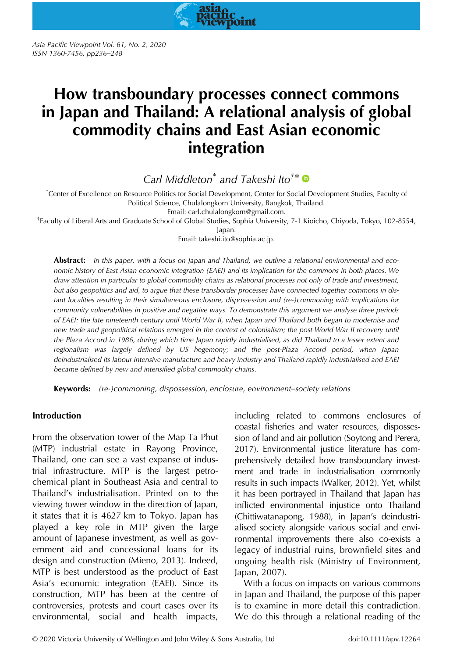Asia Pacific Viewpoint Vol. 61, No. 2, 2020 ISSN 1360-7456, pp236–248

# How transboundary processes connect commons in Japan and Thailand: A relational analysis of global commodity chains and East Asian economic integration

rint

Carl Middleton<sup>\*</sup> and Takeshi Ito<sup>†\*</sup>

\* Center of Excellence on Resource Politics for Social Development, Center for Social Development Studies, Faculty of Political Science, Chulalongkorn University, Bangkok, Thailand.

Email: carl.chulalongkorn@gmail.com.<br>Faculty of Liberal Arts and Graduate School of Global Studies, Sophia University, 7-1 Kioicho, Chiyoda, Tokyo, 102-8554, <sup>†</sup>

Japan.

Email: takeshi.ito@sophia.ac.jp.

Abstract: In this paper, with a focus on Japan and Thailand, we outline a relational environmental and economic history of East Asian economic integration (EAEI) and its implication for the commons in both places. We draw attention in particular to global commodity chains as relational processes not only of trade and investment, but also geopolitics and aid, to argue that these transborder processes have connected together commons in distant localities resulting in their simultaneous enclosure, dispossession and (re-)commoning with implications for community vulnerabilities in positive and negative ways. To demonstrate this argument we analyse three periods of EAEI: the late nineteenth century until World War II, when Japan and Thailand both began to modernise and new trade and geopolitical relations emerged in the context of colonialism; the post-World War II recovery until the Plaza Accord in 1986, during which time Japan rapidly industrialised, as did Thailand to a lesser extent and regionalism was largely defined by US hegemony; and the post-Plaza Accord period, when Japan deindustrialised its labour intensive manufacture and heavy industry and Thailand rapidly industrialised and EAEI became defined by new and intensified global commodity chains.

Keywords: (re-)commoning, dispossession, enclosure, environment–society relations

#### Introduction

From the observation tower of the Map Ta Phut (MTP) industrial estate in Rayong Province, Thailand, one can see a vast expanse of industrial infrastructure. MTP is the largest petrochemical plant in Southeast Asia and central to Thailand's industrialisation. Printed on to the viewing tower window in the direction of Japan, it states that it is 4627 km to Tokyo. Japan has played a key role in MTP given the large amount of Japanese investment, as well as government aid and concessional loans for its design and construction (Mieno, 2013). Indeed, MTP is best understood as the product of East Asia's economic integration (EAEI). Since its construction, MTP has been at the centre of controversies, protests and court cases over its environmental, social and health impacts,

including related to commons enclosures of coastal fisheries and water resources, dispossession of land and air pollution (Soytong and Perera, 2017). Environmental justice literature has comprehensively detailed how transboundary investment and trade in industrialisation commonly results in such impacts (Walker, 2012). Yet, whilst it has been portrayed in Thailand that Japan has inflicted environmental injustice onto Thailand (Chittiwatanapong, 1988), in Japan's deindustrialised society alongside various social and environmental improvements there also co-exists a legacy of industrial ruins, brownfield sites and ongoing health risk (Ministry of Environment, Japan, 2007).

With a focus on impacts on various commons in Japan and Thailand, the purpose of this paper is to examine in more detail this contradiction. We do this through a relational reading of the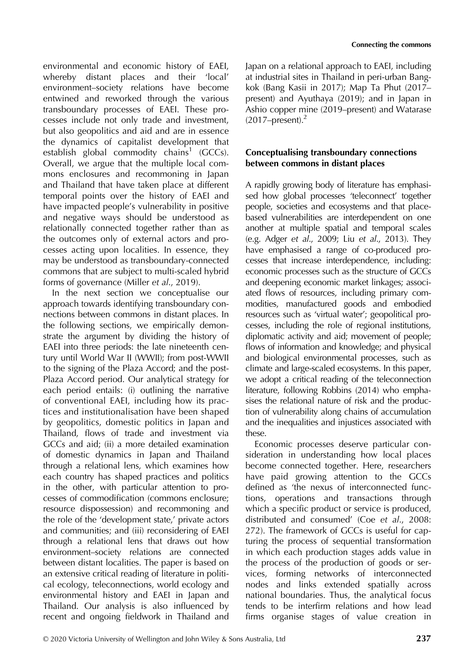environmental and economic history of EAEI, whereby distant places and their 'local' environment–society relations have become entwined and reworked through the various transboundary processes of EAEI. These processes include not only trade and investment, but also geopolitics and aid and are in essence the dynamics of capitalist development that establish global commodity chains<sup>1</sup> (GCCs). Overall, we argue that the multiple local commons enclosures and recommoning in Japan and Thailand that have taken place at different temporal points over the history of EAEI and have impacted people's vulnerability in positive and negative ways should be understood as relationally connected together rather than as the outcomes only of external actors and processes acting upon localities. In essence, they may be understood as transboundary-connected commons that are subject to multi-scaled hybrid forms of governance (Miller et al., 2019).

In the next section we conceptualise our approach towards identifying transboundary connections between commons in distant places. In the following sections, we empirically demonstrate the argument by dividing the history of EAEI into three periods: the late nineteenth century until World War II (WWII); from post-WWII to the signing of the Plaza Accord; and the post-Plaza Accord period. Our analytical strategy for each period entails: (i) outlining the narrative of conventional EAEI, including how its practices and institutionalisation have been shaped by geopolitics, domestic politics in Japan and Thailand, flows of trade and investment via GCCs and aid; (ii) a more detailed examination of domestic dynamics in Japan and Thailand through a relational lens, which examines how each country has shaped practices and politics in the other, with particular attention to processes of commodification (commons enclosure; resource dispossession) and recommoning and the role of the 'development state,' private actors and communities; and (iii) reconsidering of EAEI through a relational lens that draws out how environment–society relations are connected between distant localities. The paper is based on an extensive critical reading of literature in political ecology, teleconnections, world ecology and environmental history and EAEI in Japan and Thailand. Our analysis is also influenced by recent and ongoing fieldwork in Thailand and Japan on a relational approach to EAEI, including at industrial sites in Thailand in peri-urban Bangkok (Bang Kasii in 2017); Map Ta Phut (2017– present) and Ayuthaya (2019); and in Japan in Ashio copper mine (2019–present) and Watarase  $(2017–present).<sup>2</sup>$ 

### Conceptualising transboundary connections between commons in distant places

A rapidly growing body of literature has emphasised how global processes 'teleconnect' together people, societies and ecosystems and that placebased vulnerabilities are interdependent on one another at multiple spatial and temporal scales (e.g. Adger et al., 2009; Liu et al., 2013). They have emphasised a range of co-produced processes that increase interdependence, including: economic processes such as the structure of GCCs and deepening economic market linkages; associated flows of resources, including primary commodities, manufactured goods and embodied resources such as 'virtual water'; geopolitical processes, including the role of regional institutions, diplomatic activity and aid; movement of people; flows of information and knowledge; and physical and biological environmental processes, such as climate and large-scaled ecosystems. In this paper, we adopt a critical reading of the teleconnection literature, following Robbins (2014) who emphasises the relational nature of risk and the production of vulnerability along chains of accumulation and the inequalities and injustices associated with these.

Economic processes deserve particular consideration in understanding how local places become connected together. Here, researchers have paid growing attention to the GCCs defined as 'the nexus of interconnected functions, operations and transactions through which a specific product or service is produced, distributed and consumed' (Coe et al., 2008: 272). The framework of GCCs is useful for capturing the process of sequential transformation in which each production stages adds value in the process of the production of goods or services, forming networks of interconnected nodes and links extended spatially across national boundaries. Thus, the analytical focus tends to be interfirm relations and how lead firms organise stages of value creation in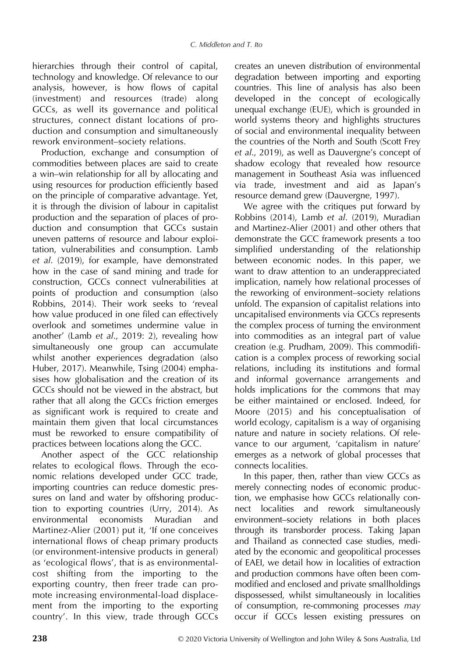hierarchies through their control of capital, technology and knowledge. Of relevance to our analysis, however, is how flows of capital (investment) and resources (trade) along GCCs, as well its governance and political structures, connect distant locations of production and consumption and simultaneously rework environment–society relations.

Production, exchange and consumption of commodities between places are said to create a win–win relationship for all by allocating and using resources for production efficiently based on the principle of comparative advantage. Yet, it is through the division of labour in capitalist production and the separation of places of production and consumption that GCCs sustain uneven patterns of resource and labour exploitation, vulnerabilities and consumption. Lamb et al. (2019), for example, have demonstrated how in the case of sand mining and trade for construction, GCCs connect vulnerabilities at points of production and consumption (also Robbins, 2014). Their work seeks to 'reveal how value produced in one filed can effectively overlook and sometimes undermine value in another' (Lamb et al., 2019: 2), revealing how simultaneously one group can accumulate whilst another experiences degradation (also Huber, 2017). Meanwhile, Tsing (2004) emphasises how globalisation and the creation of its GCCs should not be viewed in the abstract, but rather that all along the GCCs friction emerges as significant work is required to create and maintain them given that local circumstances must be reworked to ensure compatibility of practices between locations along the GCC.

Another aspect of the GCC relationship relates to ecological flows. Through the economic relations developed under GCC trade, importing countries can reduce domestic pressures on land and water by offshoring production to exporting countries (Urry, 2014). As environmental economists Muradian and Martinez-Alier (2001) put it, 'If one conceives international flows of cheap primary products (or environment-intensive products in general) as 'ecological flows', that is as environmentalcost shifting from the importing to the exporting country, then freer trade can promote increasing environmental-load displacement from the importing to the exporting country'. In this view, trade through GCCs

creates an uneven distribution of environmental degradation between importing and exporting countries. This line of analysis has also been developed in the concept of ecologically unequal exchange (EUE), which is grounded in world systems theory and highlights structures of social and environmental inequality between the countries of the North and South (Scott Frey et al., 2019), as well as Dauvergne's concept of shadow ecology that revealed how resource management in Southeast Asia was influenced via trade, investment and aid as Japan's resource demand grew (Dauvergne, 1997).

We agree with the critiques put forward by Robbins (2014), Lamb et al. (2019), Muradian and Martinez-Alier (2001) and other others that demonstrate the GCC framework presents a too simplified understanding of the relationship between economic nodes. In this paper, we want to draw attention to an underappreciated implication, namely how relational processes of the reworking of environment–society relations unfold. The expansion of capitalist relations into uncapitalised environments via GCCs represents the complex process of turning the environment into commodities as an integral part of value creation (e.g. Prudham, 2009). This commodification is a complex process of reworking social relations, including its institutions and formal and informal governance arrangements and holds implications for the commons that may be either maintained or enclosed. Indeed, for Moore (2015) and his conceptualisation of world ecology, capitalism is a way of organising nature and nature in society relations. Of relevance to our argument, 'capitalism in nature' emerges as a network of global processes that connects localities.

In this paper, then, rather than view GCCs as merely connecting nodes of economic production, we emphasise how GCCs relationally connect localities and rework simultaneously environment–society relations in both places through its transborder process. Taking Japan and Thailand as connected case studies, mediated by the economic and geopolitical processes of EAEI, we detail how in localities of extraction and production commons have often been commodified and enclosed and private smallholdings dispossessed, whilst simultaneously in localities of consumption, re-commoning processes may occur if GCCs lessen existing pressures on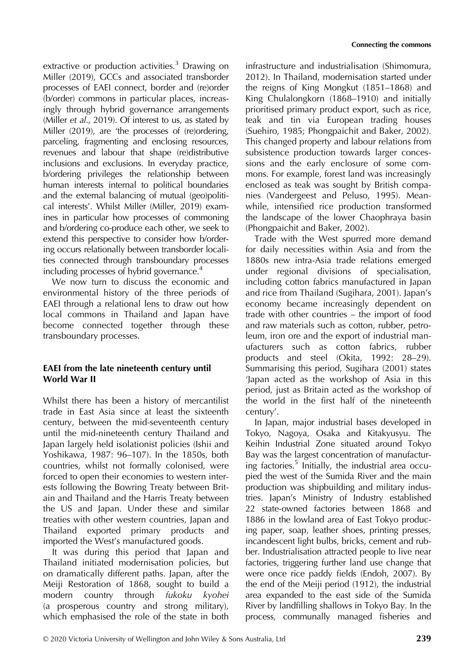extractive or production activities. $3$  Drawing on Miller (2019), GCCs and associated transborder processes of EAEI connect, border and (re)order (b/order) commons in particular places, increasingly through hybrid governance arrangements (Miller et al., 2019). Of interest to us, as stated by Miller (2019), are 'the processes of (re)ordering, parceling, fragmenting and enclosing resources, revenues and labour that shape (re)distributive inclusions and exclusions. In everyday practice, b/ordering privileges the relationship between human interests internal to political boundaries and the external balancing of mutual (geo)political interests'. Whilst Miller (Miller, 2019) examines in particular how processes of commoning and b/ordering co-produce each other, we seek to extend this perspective to consider how b/ordering occurs relationally between transborder localities connected through transboundary processes including processes of hybrid governance.<sup>4</sup>

We now turn to discuss the economic and environmental history of the three periods of EAEI through a relational lens to draw out how local commons in Thailand and Japan have become connected together through these transboundary processes.

## EAEI from the late nineteenth century until World War II

Whilst there has been a history of mercantilist trade in East Asia since at least the sixteenth century, between the mid-seventeenth century until the mid-nineteenth century Thailand and Japan largely held isolationist policies (Ishii and Yoshikawa, 1987: 96–107). In the 1850s, both countries, whilst not formally colonised, were forced to open their economies to western interests following the Bowring Treaty between Britain and Thailand and the Harris Treaty between the US and Japan. Under these and similar treaties with other western countries, Japan and Thailand exported primary products and imported the West's manufactured goods.

It was during this period that Japan and Thailand initiated modernisation policies, but on dramatically different paths. Japan, after the Meiji Restoration of 1868, sought to build a modern country through fukoku kyohei (a prosperous country and strong military), which emphasised the role of the state in both

infrastructure and industrialisation (Shimomura, 2012). In Thailand, modernisation started under the reigns of King Mongkut (1851–1868) and King Chulalongkorn (1868–1910) and initially prioritised primary product export, such as rice, teak and tin via European trading houses (Suehiro, 1985; Phongpaichit and Baker, 2002). This changed property and labour relations from subsistence production towards larger concessions and the early enclosure of some commons. For example, forest land was increasingly enclosed as teak was sought by British companies (Vandergeest and Peluso, 1995). Meanwhile, intensified rice production transformed the landscape of the lower Chaophraya basin (Phongpaichit and Baker, 2002).

Trade with the West spurred more demand for daily necessities within Asia and from the 1880s new intra-Asia trade relations emerged under regional divisions of specialisation, including cotton fabrics manufactured in Japan and rice from Thailand (Sugihara, 2001). Japan's economy became increasingly dependent on trade with other countries – the import of food and raw materials such as cotton, rubber, petroleum, iron ore and the export of industrial manufacturers such as cotton fabrics, rubber products and steel (Okita, 1992: 28–29). Summarising this period, Sugihara (2001) states 'Japan acted as the workshop of Asia in this period, just as Britain acted as the workshop of the world in the first half of the nineteenth century'.

In Japan, major industrial bases developed in Tokyo, Nagoya, Osaka and Kitakyusyu. The Keihin Industrial Zone situated around Tokyo Bay was the largest concentration of manufacturing factories.<sup>5</sup> Initially, the industrial area occupied the west of the Sumida River and the main production was shipbuilding and military industries. Japan's Ministry of Industry established 22 state-owned factories between 1868 and 1886 in the lowland area of East Tokyo producing paper, soap, leather shoes, printing presses, incandescent light bulbs, bricks, cement and rubber. Industrialisation attracted people to live near factories, triggering further land use change that were once rice paddy fields (Endoh, 2007). By the end of the Meiji period (1912), the industrial area expanded to the east side of the Sumida River by landfilling shallows in Tokyo Bay. In the process, communally managed fisheries and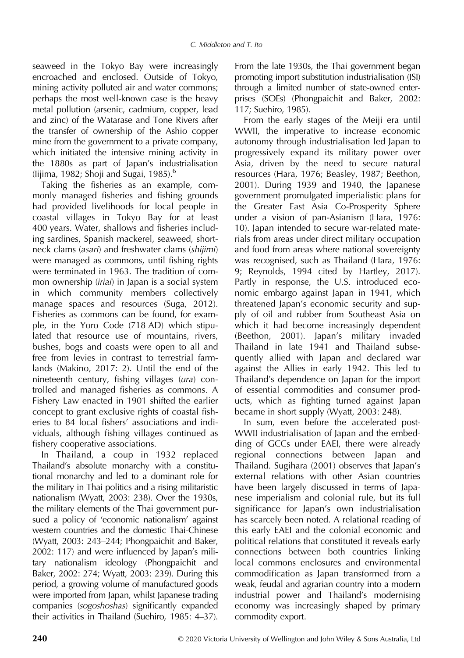seaweed in the Tokyo Bay were increasingly encroached and enclosed. Outside of Tokyo, mining activity polluted air and water commons; perhaps the most well-known case is the heavy metal pollution (arsenic, cadmium, copper, lead and zinc) of the Watarase and Tone Rivers after the transfer of ownership of the Ashio copper mine from the government to a private company, which initiated the intensive mining activity in the 1880s as part of Japan's industrialisation (Iijima, 1982; Shoji and Sugai, 1985).<sup>6</sup>

Taking the fisheries as an example, commonly managed fisheries and fishing grounds had provided livelihoods for local people in coastal villages in Tokyo Bay for at least 400 years. Water, shallows and fisheries including sardines, Spanish mackerel, seaweed, shortneck clams (asari) and freshwater clams (shijimi) were managed as commons, until fishing rights were terminated in 1963. The tradition of common ownership *(iriai)* in Japan is a social system in which community members collectively manage spaces and resources (Suga, 2012). Fisheries as commons can be found, for example, in the Yoro Code (718 AD) which stipulated that resource use of mountains, rivers, bushes, bogs and coasts were open to all and free from levies in contrast to terrestrial farmlands (Makino, 2017: 2). Until the end of the nineteenth century, fishing villages (ura) controlled and managed fisheries as commons. A Fishery Law enacted in 1901 shifted the earlier concept to grant exclusive rights of coastal fisheries to 84 local fishers' associations and individuals, although fishing villages continued as fishery cooperative associations.

In Thailand, a coup in 1932 replaced Thailand's absolute monarchy with a constitutional monarchy and led to a dominant role for the military in Thai politics and a rising militaristic nationalism (Wyatt, 2003: 238). Over the 1930s, the military elements of the Thai government pursued a policy of 'economic nationalism' against western countries and the domestic Thai-Chinese (Wyatt, 2003: 243–244; Phongpaichit and Baker, 2002: 117) and were influenced by Japan's military nationalism ideology (Phongpaichit and Baker, 2002: 274; Wyatt, 2003: 239). During this period, a growing volume of manufactured goods were imported from Japan, whilst Japanese trading companies (sogoshoshas) significantly expanded their activities in Thailand (Suehiro, 1985: 4–37).

From the late 1930s, the Thai government began promoting import substitution industrialisation (ISI) through a limited number of state-owned enterprises (SOEs) (Phongpaichit and Baker, 2002: 117; Suehiro, 1985).

From the early stages of the Meiji era until WWII, the imperative to increase economic autonomy through industrialisation led Japan to progressively expand its military power over Asia, driven by the need to secure natural resources (Hara, 1976; Beasley, 1987; Beethon, 2001). During 1939 and 1940, the Japanese government promulgated imperialistic plans for the Greater East Asia Co-Prosperity Sphere under a vision of pan-Asianism (Hara, 1976: 10). Japan intended to secure war-related materials from areas under direct military occupation and food from areas where national sovereignty was recognised, such as Thailand (Hara, 1976: 9; Reynolds, 1994 cited by Hartley, 2017). Partly in response, the U.S. introduced economic embargo against Japan in 1941, which threatened Japan's economic security and supply of oil and rubber from Southeast Asia on which it had become increasingly dependent (Beethon, 2001). Japan's military invaded Thailand in late 1941 and Thailand subsequently allied with Japan and declared war against the Allies in early 1942. This led to Thailand's dependence on Japan for the import of essential commodities and consumer products, which as fighting turned against Japan became in short supply (Wyatt, 2003: 248).

In sum, even before the accelerated post-WWII industrialisation of Japan and the embedding of GCCs under EAEI, there were already regional connections between Japan and Thailand. Sugihara (2001) observes that Japan's external relations with other Asian countries have been largely discussed in terms of Japanese imperialism and colonial rule, but its full significance for Japan's own industrialisation has scarcely been noted. A relational reading of this early EAEI and the colonial economic and political relations that constituted it reveals early connections between both countries linking local commons enclosures and environmental commodification as Japan transformed from a weak, feudal and agrarian country into a modern industrial power and Thailand's modernising economy was increasingly shaped by primary commodity export.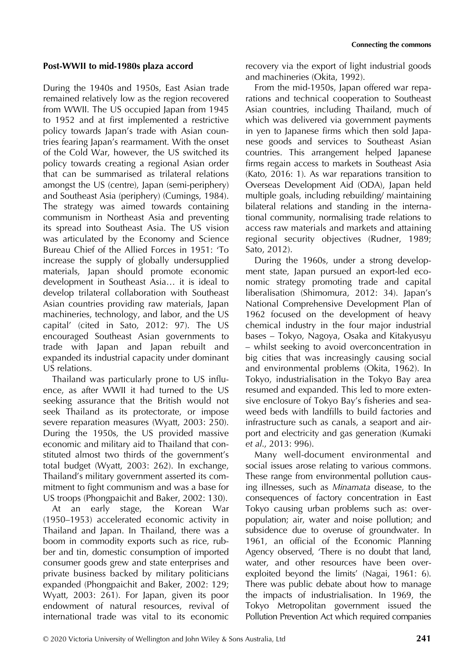## Post-WWII to mid-1980s plaza accord

During the 1940s and 1950s, East Asian trade remained relatively low as the region recovered from WWII. The US occupied Japan from 1945 to 1952 and at first implemented a restrictive policy towards Japan's trade with Asian countries fearing Japan's rearmament. With the onset of the Cold War, however, the US switched its policy towards creating a regional Asian order that can be summarised as trilateral relations amongst the US (centre), Japan (semi-periphery) and Southeast Asia (periphery) (Cumings, 1984). The strategy was aimed towards containing communism in Northeast Asia and preventing its spread into Southeast Asia. The US vision was articulated by the Economy and Science Bureau Chief of the Allied Forces in 1951: 'To increase the supply of globally undersupplied materials, Japan should promote economic development in Southeast Asia… it is ideal to develop trilateral collaboration with Southeast Asian countries providing raw materials, Japan machineries, technology, and labor, and the US capital' (cited in Sato, 2012: 97). The US encouraged Southeast Asian governments to trade with Japan and Japan rebuilt and expanded its industrial capacity under dominant US relations.

Thailand was particularly prone to US influence, as after WWII it had turned to the US seeking assurance that the British would not seek Thailand as its protectorate, or impose severe reparation measures (Wyatt, 2003: 250). During the 1950s, the US provided massive economic and military aid to Thailand that constituted almost two thirds of the government's total budget (Wyatt, 2003: 262). In exchange, Thailand's military government asserted its commitment to fight communism and was a base for US troops (Phongpaichit and Baker, 2002: 130).

At an early stage, the Korean War (1950–1953) accelerated economic activity in Thailand and Japan. In Thailand, there was a boom in commodity exports such as rice, rubber and tin, domestic consumption of imported consumer goods grew and state enterprises and private business backed by military politicians expanded (Phongpaichit and Baker, 2002: 129; Wyatt, 2003: 261). For Japan, given its poor endowment of natural resources, revival of international trade was vital to its economic

recovery via the export of light industrial goods and machineries (Okita, 1992).

From the mid-1950s, Japan offered war reparations and technical cooperation to Southeast Asian countries, including Thailand, much of which was delivered via government payments in yen to Japanese firms which then sold Japanese goods and services to Southeast Asian countries. This arrangement helped Japanese firms regain access to markets in Southeast Asia (Kato, 2016: 1). As war reparations transition to Overseas Development Aid (ODA), Japan held multiple goals, including rebuilding/ maintaining bilateral relations and standing in the international community, normalising trade relations to access raw materials and markets and attaining regional security objectives (Rudner, 1989; Sato, 2012).

During the 1960s, under a strong development state, Japan pursued an export-led economic strategy promoting trade and capital liberalisation (Shimomura, 2012: 34). Japan's National Comprehensive Development Plan of 1962 focused on the development of heavy chemical industry in the four major industrial bases – Tokyo, Nagoya, Osaka and Kitakyusyu – whilst seeking to avoid overconcentration in big cities that was increasingly causing social and environmental problems (Okita, 1962). In Tokyo, industrialisation in the Tokyo Bay area resumed and expanded. This led to more extensive enclosure of Tokyo Bay's fisheries and seaweed beds with landfills to build factories and infrastructure such as canals, a seaport and airport and electricity and gas generation (Kumaki et al., 2013: 996).

Many well-document environmental and social issues arose relating to various commons. These range from environmental pollution causing illnesses, such as Minamata disease, to the consequences of factory concentration in East Tokyo causing urban problems such as: overpopulation; air, water and noise pollution; and subsidence due to overuse of groundwater. In 1961, an official of the Economic Planning Agency observed, 'There is no doubt that land, water, and other resources have been overexploited beyond the limits' (Nagai, 1961: 6). There was public debate about how to manage the impacts of industrialisation. In 1969, the Tokyo Metropolitan government issued the Pollution Prevention Act which required companies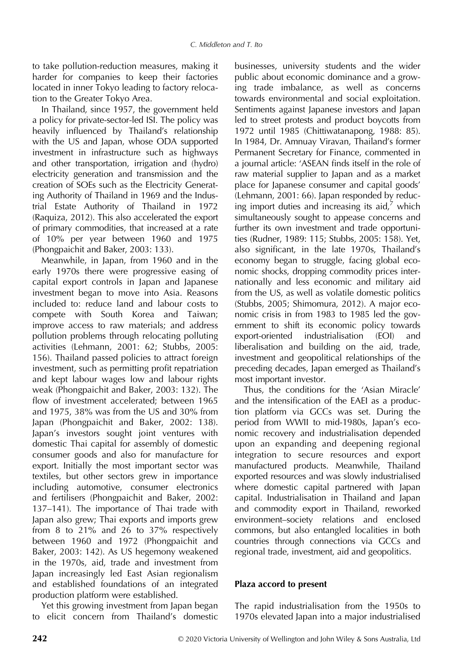to take pollution-reduction measures, making it harder for companies to keep their factories located in inner Tokyo leading to factory relocation to the Greater Tokyo Area.

In Thailand, since 1957, the government held a policy for private-sector-led ISI. The policy was heavily influenced by Thailand's relationship with the US and Japan, whose ODA supported investment in infrastructure such as highways and other transportation, irrigation and (hydro) electricity generation and transmission and the creation of SOEs such as the Electricity Generating Authority of Thailand in 1969 and the Industrial Estate Authority of Thailand in 1972 (Raquiza, 2012). This also accelerated the export of primary commodities, that increased at a rate of 10% per year between 1960 and 1975 (Phongpaichit and Baker, 2003: 133).

Meanwhile, in Japan, from 1960 and in the early 1970s there were progressive easing of capital export controls in Japan and Japanese investment began to move into Asia. Reasons included to: reduce land and labour costs to compete with South Korea and Taiwan; improve access to raw materials; and address pollution problems through relocating polluting activities (Lehmann, 2001: 62; Stubbs, 2005: 156). Thailand passed policies to attract foreign investment, such as permitting profit repatriation and kept labour wages low and labour rights weak (Phongpaichit and Baker, 2003: 132). The flow of investment accelerated; between 1965 and 1975, 38% was from the US and 30% from Japan (Phongpaichit and Baker, 2002: 138). Japan's investors sought joint ventures with domestic Thai capital for assembly of domestic consumer goods and also for manufacture for export. Initially the most important sector was textiles, but other sectors grew in importance including automotive, consumer electronics and fertilisers (Phongpaichit and Baker, 2002: 137–141). The importance of Thai trade with Japan also grew; Thai exports and imports grew from 8 to 21% and 26 to 37% respectively between 1960 and 1972 (Phongpaichit and Baker, 2003: 142). As US hegemony weakened in the 1970s, aid, trade and investment from Japan increasingly led East Asian regionalism and established foundations of an integrated production platform were established.

Yet this growing investment from Japan began to elicit concern from Thailand's domestic businesses, university students and the wider public about economic dominance and a growing trade imbalance, as well as concerns towards environmental and social exploitation. Sentiments against Japanese investors and Japan led to street protests and product boycotts from 1972 until 1985 (Chittiwatanapong, 1988: 85). In 1984, Dr. Amnuay Viravan, Thailand's former Permanent Secretary for Finance, commented in a journal article: 'ASEAN finds itself in the role of raw material supplier to Japan and as a market place for Japanese consumer and capital goods' (Lehmann, 2001: 66). Japan responded by reducing import duties and increasing its aid,<sup>7</sup> which simultaneously sought to appease concerns and further its own investment and trade opportunities (Rudner, 1989: 115; Stubbs, 2005: 158). Yet, also significant, in the late 1970s, Thailand's economy began to struggle, facing global economic shocks, dropping commodity prices internationally and less economic and military aid from the US, as well as volatile domestic politics (Stubbs, 2005; Shimomura, 2012). A major economic crisis in from 1983 to 1985 led the government to shift its economic policy towards export-oriented industrialisation (EOI) and liberalisation and building on the aid, trade, investment and geopolitical relationships of the preceding decades, Japan emerged as Thailand's most important investor.

Thus, the conditions for the 'Asian Miracle' and the intensification of the EAEI as a production platform via GCCs was set. During the period from WWII to mid-1980s, Japan's economic recovery and industrialisation depended upon an expanding and deepening regional integration to secure resources and export manufactured products. Meanwhile, Thailand exported resources and was slowly industrialised where domestic capital partnered with Japan capital. Industrialisation in Thailand and Japan and commodity export in Thailand, reworked environment–society relations and enclosed commons, but also entangled localities in both countries through connections via GCCs and regional trade, investment, aid and geopolitics.

## Plaza accord to present

The rapid industrialisation from the 1950s to 1970s elevated Japan into a major industrialised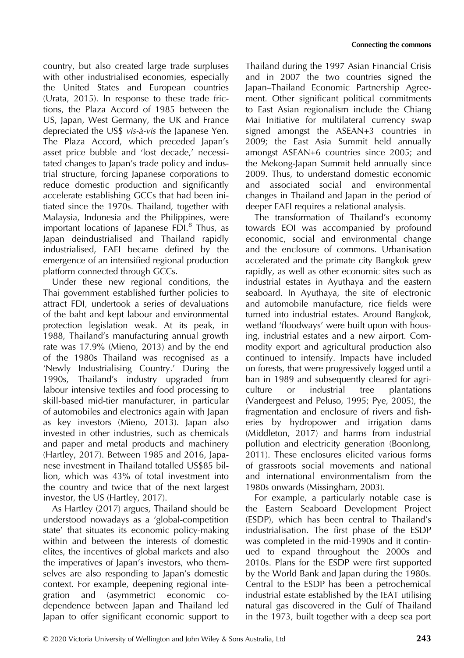country, but also created large trade surpluses with other industrialised economies, especially the United States and European countries (Urata, 2015). In response to these trade frictions, the Plaza Accord of 1985 between the US, Japan, West Germany, the UK and France depreciated the US\$ vis-à-vis the Japanese Yen. The Plaza Accord, which preceded Japan's asset price bubble and 'lost decade,' necessitated changes to Japan's trade policy and industrial structure, forcing Japanese corporations to reduce domestic production and significantly accelerate establishing GCCs that had been initiated since the 1970s. Thailand, together with Malaysia, Indonesia and the Philippines, were important locations of Japanese FDI.<sup>8</sup> Thus, as Japan deindustrialised and Thailand rapidly industrialised, EAEI became defined by the emergence of an intensified regional production platform connected through GCCs.

Under these new regional conditions, the Thai government established further policies to attract FDI, undertook a series of devaluations of the baht and kept labour and environmental protection legislation weak. At its peak, in 1988, Thailand's manufacturing annual growth rate was 17.9% (Mieno, 2013) and by the end of the 1980s Thailand was recognised as a 'Newly Industrialising Country.' During the 1990s, Thailand's industry upgraded from labour intensive textiles and food processing to skill-based mid-tier manufacturer, in particular of automobiles and electronics again with Japan as key investors (Mieno, 2013). Japan also invested in other industries, such as chemicals and paper and metal products and machinery (Hartley, 2017). Between 1985 and 2016, Japanese investment in Thailand totalled US\$85 billion, which was 43% of total investment into the country and twice that of the next largest investor, the US (Hartley, 2017).

As Hartley (2017) argues, Thailand should be understood nowadays as a 'global-competition state' that situates its economic policy-making within and between the interests of domestic elites, the incentives of global markets and also the imperatives of Japan's investors, who themselves are also responding to Japan's domestic context. For example, deepening regional integration and (asymmetric) economic codependence between Japan and Thailand led Japan to offer significant economic support to

Thailand during the 1997 Asian Financial Crisis and in 2007 the two countries signed the Japan–Thailand Economic Partnership Agreement. Other significant political commitments to East Asian regionalism include the Chiang Mai Initiative for multilateral currency swap signed amongst the ASEAN+3 countries in 2009; the East Asia Summit held annually amongst ASEAN+6 countries since 2005; and the Mekong-Japan Summit held annually since 2009. Thus, to understand domestic economic and associated social and environmental changes in Thailand and Japan in the period of deeper EAEI requires a relational analysis.

The transformation of Thailand's economy towards EOI was accompanied by profound economic, social and environmental change and the enclosure of commons. Urbanisation accelerated and the primate city Bangkok grew rapidly, as well as other economic sites such as industrial estates in Ayuthaya and the eastern seaboard. In Ayuthaya, the site of electronic and automobile manufacture, rice fields were turned into industrial estates. Around Bangkok, wetland 'floodways' were built upon with housing, industrial estates and a new airport. Commodity export and agricultural production also continued to intensify. Impacts have included on forests, that were progressively logged until a ban in 1989 and subsequently cleared for agriculture or industrial tree plantations (Vandergeest and Peluso, 1995; Pye, 2005), the fragmentation and enclosure of rivers and fisheries by hydropower and irrigation dams (Middleton, 2017) and harms from industrial pollution and electricity generation (Boonlong, 2011). These enclosures elicited various forms of grassroots social movements and national and international environmentalism from the 1980s onwards (Missingham, 2003).

For example, a particularly notable case is the Eastern Seaboard Development Project (ESDP), which has been central to Thailand's industrialisation. The first phase of the ESDP was completed in the mid-1990s and it continued to expand throughout the 2000s and 2010s. Plans for the ESDP were first supported by the World Bank and Japan during the 1980s. Central to the ESDP has been a petrochemical industrial estate established by the IEAT utilising natural gas discovered in the Gulf of Thailand in the 1973, built together with a deep sea port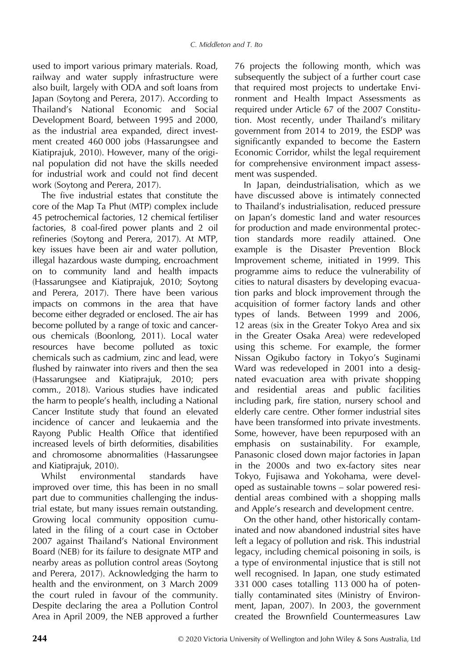used to import various primary materials. Road, railway and water supply infrastructure were also built, largely with ODA and soft loans from Japan (Soytong and Perera, 2017). According to Thailand's National Economic and Social Development Board, between 1995 and 2000, as the industrial area expanded, direct investment created 460 000 jobs (Hassarungsee and Kiatiprajuk, 2010). However, many of the original population did not have the skills needed for industrial work and could not find decent work (Soytong and Perera, 2017).

The five industrial estates that constitute the core of the Map Ta Phut (MTP) complex include 45 petrochemical factories, 12 chemical fertiliser factories, 8 coal-fired power plants and 2 oil refineries (Soytong and Perera, 2017). At MTP, key issues have been air and water pollution, illegal hazardous waste dumping, encroachment on to community land and health impacts (Hassarungsee and Kiatiprajuk, 2010; Soytong and Perera, 2017). There have been various impacts on commons in the area that have become either degraded or enclosed. The air has become polluted by a range of toxic and cancerous chemicals (Boonlong, 2011). Local water resources have become polluted as toxic chemicals such as cadmium, zinc and lead, were flushed by rainwater into rivers and then the sea (Hassarungsee and Kiatiprajuk, 2010; pers comm., 2018). Various studies have indicated the harm to people's health, including a National Cancer Institute study that found an elevated incidence of cancer and leukaemia and the Rayong Public Health Office that identified increased levels of birth deformities, disabilities and chromosome abnormalities (Hassarungsee and Kiatiprajuk, 2010).

Whilst environmental standards have improved over time, this has been in no small part due to communities challenging the industrial estate, but many issues remain outstanding. Growing local community opposition cumulated in the filing of a court case in October 2007 against Thailand's National Environment Board (NEB) for its failure to designate MTP and nearby areas as pollution control areas (Soytong and Perera, 2017). Acknowledging the harm to health and the environment, on 3 March 2009 the court ruled in favour of the community. Despite declaring the area a Pollution Control Area in April 2009, the NEB approved a further 76 projects the following month, which was subsequently the subject of a further court case that required most projects to undertake Environment and Health Impact Assessments as required under Article 67 of the 2007 Constitution. Most recently, under Thailand's military government from 2014 to 2019, the ESDP was significantly expanded to become the Eastern Economic Corridor, whilst the legal requirement for comprehensive environment impact assessment was suspended.

In Japan, deindustrialisation, which as we have discussed above is intimately connected to Thailand's industrialisation, reduced pressure on Japan's domestic land and water resources for production and made environmental protection standards more readily attained. One example is the Disaster Prevention Block Improvement scheme, initiated in 1999. This programme aims to reduce the vulnerability of cities to natural disasters by developing evacuation parks and block improvement through the acquisition of former factory lands and other types of lands. Between 1999 and 2006, 12 areas (six in the Greater Tokyo Area and six in the Greater Osaka Area) were redeveloped using this scheme. For example, the former Nissan Ogikubo factory in Tokyo's Suginami Ward was redeveloped in 2001 into a designated evacuation area with private shopping and residential areas and public facilities including park, fire station, nursery school and elderly care centre. Other former industrial sites have been transformed into private investments. Some, however, have been repurposed with an emphasis on sustainability. For example, Panasonic closed down major factories in Japan in the 2000s and two ex-factory sites near Tokyo, Fujisawa and Yokohama, were developed as sustainable towns – solar powered residential areas combined with a shopping malls and Apple's research and development centre.

On the other hand, other historically contaminated and now abandoned industrial sites have left a legacy of pollution and risk. This industrial legacy, including chemical poisoning in soils, is a type of environmental injustice that is still not well recognised. In Japan, one study estimated 331 000 cases totalling 113 000 ha of potentially contaminated sites (Ministry of Environment, Japan, 2007). In 2003, the government created the Brownfield Countermeasures Law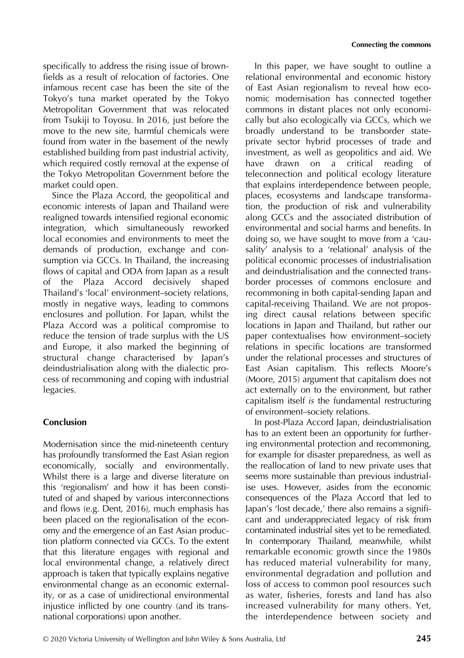specifically to address the rising issue of brownfields as a result of relocation of factories. One infamous recent case has been the site of the Tokyo's tuna market operated by the Tokyo Metropolitan Government that was relocated from Tsukiji to Toyosu. In 2016, just before the move to the new site, harmful chemicals were found from water in the basement of the newly established building from past industrial activity, which required costly removal at the expense of the Tokyo Metropolitan Government before the market could open.

Since the Plaza Accord, the geopolitical and economic interests of Japan and Thailand were realigned towards intensified regional economic integration, which simultaneously reworked local economies and environments to meet the demands of production, exchange and consumption via GCCs. In Thailand, the increasing flows of capital and ODA from Japan as a result of the Plaza Accord decisively shaped Thailand's 'local' environment–society relations, mostly in negative ways, leading to commons enclosures and pollution. For Japan, whilst the Plaza Accord was a political compromise to reduce the tension of trade surplus with the US and Europe, it also marked the beginning of structural change characterised by Japan's deindustrialisation along with the dialectic process of recommoning and coping with industrial legacies.

#### Conclusion

Modernisation since the mid-nineteenth century has profoundly transformed the East Asian region economically, socially and environmentally. Whilst there is a large and diverse literature on this 'regionalism' and how it has been constituted of and shaped by various interconnections and flows (e.g. Dent, 2016), much emphasis has been placed on the regionalisation of the economy and the emergence of an East Asian production platform connected via GCCs. To the extent that this literature engages with regional and local environmental change, a relatively direct approach is taken that typically explains negative environmental change as an economic externality, or as a case of unidirectional environmental injustice inflicted by one country (and its transnational corporations) upon another.

In this paper, we have sought to outline a relational environmental and economic history of East Asian regionalism to reveal how economic modernisation has connected together commons in distant places not only economically but also ecologically via GCCs, which we broadly understand to be transborder stateprivate sector hybrid processes of trade and investment, as well as geopolitics and aid. We have drawn on a critical reading of teleconnection and political ecology literature that explains interdependence between people, places, ecosystems and landscape transformation, the production of risk and vulnerability along GCCs and the associated distribution of environmental and social harms and benefits. In doing so, we have sought to move from a 'causality' analysis to a 'relational' analysis of the political economic processes of industrialisation and deindustrialisation and the connected transborder processes of commons enclosure and recommoning in both capital-sending Japan and capital-receiving Thailand. We are not proposing direct causal relations between specific locations in Japan and Thailand, but rather our paper contextualises how environment–society relations in specific locations are transformed under the relational processes and structures of East Asian capitalism. This reflects Moore's (Moore, 2015) argument that capitalism does not act externally on to the environment, but rather capitalism itself is the fundamental restructuring of environment–society relations.

In post-Plaza Accord Japan, deindustrialisation has to an extent been an opportunity for furthering environmental protection and recommoning, for example for disaster preparedness, as well as the reallocation of land to new private uses that seems more sustainable than previous industrialise uses. However, asides from the economic consequences of the Plaza Accord that led to Japan's 'lost decade,' there also remains a significant and underappreciated legacy of risk from contaminated industrial sites yet to be remediated. In contemporary Thailand, meanwhile, whilst remarkable economic growth since the 1980s has reduced material vulnerability for many, environmental degradation and pollution and loss of access to common pool resources such as water, fisheries, forests and land has also increased vulnerability for many others. Yet, the interdependence between society and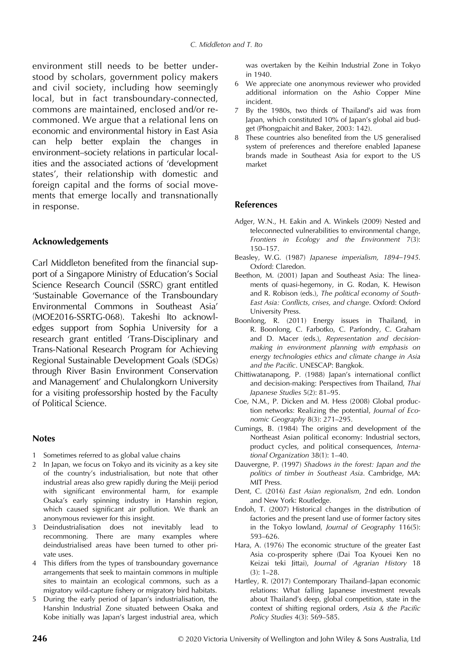environment still needs to be better understood by scholars, government policy makers and civil society, including how seemingly local, but in fact transboundary-connected, commons are maintained, enclosed and/or recommoned. We argue that a relational lens on economic and environmental history in East Asia can help better explain the changes in environment–society relations in particular localities and the associated actions of 'development states', their relationship with domestic and foreign capital and the forms of social movements that emerge locally and transnationally in response.

#### Acknowledgements

Carl Middleton benefited from the financial support of a Singapore Ministry of Education's Social Science Research Council (SSRC) grant entitled 'Sustainable Governance of the Transboundary Environmental Commons in Southeast Asia' (MOE2016-SSRTG-068). Takeshi Ito acknowledges support from Sophia University for a research grant entitled 'Trans-Disciplinary and Trans-National Research Program for Achieving Regional Sustainable Development Goals (SDGs) through River Basin Environment Conservation and Management' and Chulalongkorn University for a visiting professorship hosted by the Faculty of Political Science.

#### **Notes**

- 1 Sometimes referred to as global value chains
- 2 In Japan, we focus on Tokyo and its vicinity as a key site of the country's industrialisation, but note that other industrial areas also grew rapidly during the Meiji period with significant environmental harm, for example Osaka's early spinning industry in Hanshin region, which caused significant air pollution. We thank an anonymous reviewer for this insight.
- 3 Deindustrialisation does not inevitably lead to recommoning. There are many examples where deindustrialised areas have been turned to other private uses.
- 4 This differs from the types of transboundary governance arrangements that seek to maintain commons in multiple sites to maintain an ecological commons, such as a migratory wild-capture fishery or migratory bird habitats.
- 5 During the early period of Japan's industrialisation, the Hanshin Industrial Zone situated between Osaka and Kobe initially was Japan's largest industrial area, which

was overtaken by the Keihin Industrial Zone in Tokyo in 1940.

- 6 We appreciate one anonymous reviewer who provided additional information on the Ashio Copper Mine incident.
- 7 By the 1980s, two thirds of Thailand's aid was from Japan, which constituted 10% of Japan's global aid budget (Phongpaichit and Baker, 2003: 142).
- These countries also benefited from the US generalised system of preferences and therefore enabled Japanese brands made in Southeast Asia for export to the US market

#### References

- Adger, W.N., H. Eakin and A. Winkels (2009) Nested and teleconnected vulnerabilities to environmental change, Frontiers in Ecology and the Environment 7(3): 150–157.
- Beasley, W.G. (1987) Japanese imperialism, 1894–1945. Oxford: Claredon.
- Beethon, M. (2001) Japan and Southeast Asia: The lineaments of quasi-hegemony, in G. Rodan, K. Hewison and R. Robison (eds.), The political economy of South-East Asia: Conflicts, crises, and change. Oxford: Oxford University Press.
- Boonlong, R. (2011) Energy issues in Thailand, in R. Boonlong, C. Farbotko, C. Parfondry, C. Graham and D. Macer (eds.), Representation and decisionmaking in environment planning with emphasis on energy technologies ethics and climate change in Asia and the Pacific. UNESCAP: Bangkok.
- Chittiwatanapong, P. (1988) Japan's international conflict and decision-making: Perspectives from Thailand, Thai Japanese Studies 5(2): 81–95.
- Coe, N.M., P. Dicken and M. Hess (2008) Global production networks: Realizing the potential, Journal of Economic Geography 8(3): 271–295.
- Cumings, B. (1984) The origins and development of the Northeast Asian political economy: Industrial sectors, product cycles, and political consequences, International Organization 38(1): 1–40.
- Dauvergne, P. (1997) Shadows in the forest: Japan and the politics of timber in Southeast Asia. Cambridge, MA: MIT Press.
- Dent, C. (2016) East Asian regionalism, 2nd edn. London and New York: Routledge.
- Endoh, T. (2007) Historical changes in the distribution of factories and the present land use of former factory sites in the Tokyo lowland, Journal of Geography 116(5): 593–626.
- Hara, A. (1976) The economic structure of the greater East Asia co-prosperity sphere (Dai Toa Kyouei Ken no Keizai teki Jittai), Journal of Agrarian History 18 (3): 1–28.
- Hartley, R. (2017) Contemporary Thailand–Japan economic relations: What falling Japanese investment reveals about Thailand's deep, global competition, state in the context of shifting regional orders, Asia & the Pacific Policy Studies 4(3): 569–585.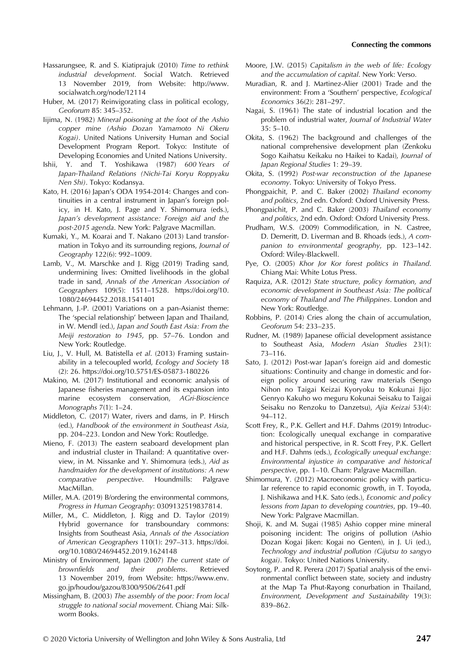#### Connecting the commons

- Hassarungsee, R. and S. Kiatiprajuk (2010) Time to rethink industrial development. Social Watch. Retrieved 13 November 2019, from Website: [http://www.](http://www.socialwatch.org/node/12114) [socialwatch.org/node/12114](http://www.socialwatch.org/node/12114)
- Huber, M. (2017) Reinvigorating class in political ecology, Geoforum 85: 345–352.
- Iijima, N. (1982) Mineral poisoning at the foot of the Ashio copper mine (Ashio Dozan Yamamoto Ni Okeru Kogai). United Nations University Human and Social Development Program Report. Tokyo: Institute of Developing Economies and United Nations University.
- Ishii, Y. and T. Yoshikawa (1987) 600 Years of Japan-Thailand Relations (Nichi-Tai Koryu Roppyaku Nen Shi). Tokyo: Kodansya.
- Kato, H. (2016) Japan's ODA 1954-2014: Changes and continuities in a central instrument in Japan's foreign policy, in H. Kato, J. Page and Y. Shimomura (eds.), Japan's development assistance: Foreign aid and the post-2015 agenda. New York: Palgrave Macmillan.
- Kumaki, Y., M. Koarai and T. Nakano (2013) Land transformation in Tokyo and its surrounding regions, Journal of Geography 122(6): 992–1009.
- Lamb, V., M. Marschke and J. Rigg (2019) Trading sand, undermining lives: Omitted livelihoods in the global trade in sand, Annals of the American Association of Geographers 109(5): 1511–1528. [https://doi.org/10.](https://doi.org/10.1080/24694452.2018.1541401) [1080/24694452.2018.1541401](https://doi.org/10.1080/24694452.2018.1541401)
- Lehmann, J.-P. (2001) Variations on a pan-Asianist theme: The 'special relationship' between Japan and Thailand, in W. Mendl (ed.), Japan and South East Asia: From the Meiji restoration to 1945, pp. 57–76. London and New York: Routledge.
- Liu, J., V. Hull, M. Batistella et al. (2013) Framing sustainability in a telecoupled world, Ecology and Society 18 (2): 26.<https://doi.org/10.5751/ES-05873-180226>
- Makino, M. (2017) Institutional and economic analysis of Japanese fisheries management and its expansion into marine ecosystem conservation, AGri-Bioscience Monographs 7(1): 1–24.
- Middleton, C. (2017) Water, rivers and dams, in P. Hirsch (ed.), Handbook of the environment in Southeast Asia, pp. 204–223. London and New York: Routledge.
- Mieno, F. (2013) The eastern seaboard development plan and industrial cluster in Thailand: A quantitative overview, in M. Nissanke and Y. Shimomura (eds.), Aid as handmaiden for the development of institutions: A new comparative perspective. Houndmills: Palgrave MacMillan.
- Miller, M.A. (2019) B/ordering the environmental commons, Progress in Human Geography: 0309132519837814.
- Miller, M., C. Middleton, J. Rigg and D. Taylor (2019) Hybrid governance for transboundary commons: Insights from Southeast Asia, Annals of the Association of American Geographers 110(1): 297–313. [https://doi.](https://doi.org/10.1080/24694452.2019.1624148) [org/10.1080/24694452.2019.1624148](https://doi.org/10.1080/24694452.2019.1624148)
- Ministry of Environment, Japan (2007) The current state of brownfields and their problems. Retrieved 13 November 2019, from Website: [https://www.env.](https://www.env.go.jp/houdou/gazou/8300/9506/2641.pdf) [go.jp/houdou/gazou/8300/9506/2641.pdf](https://www.env.go.jp/houdou/gazou/8300/9506/2641.pdf)
- Missingham, B. (2003) The assembly of the poor: From local struggle to national social movement. Chiang Mai: Silkworm Books.
- Moore, J.W. (2015) Capitalism in the web of life: Ecology and the accumulation of capital. New York: Verso.
- Muradian, R. and J. Martinez-Alier (2001) Trade and the environment: From a 'Southern' perspective, Ecological Economics 36(2): 281–297.
- Nagai, S. (1961) The state of industrial location and the problem of industrial water, Journal of Industrial Water 35: 5–10.
- Okita, S. (1962) The background and challenges of the national comprehensive development plan (Zenkoku Sogo Kaihatsu Keikaku no Haikei to Kadai), Journal of Japan Regional Studies 1: 29–39.
- Okita, S. (1992) Post-war reconstruction of the Japanese economy. Tokyo: University of Tokyo Press.
- Phongpaichit, P. and C. Baker (2002) Thailand economy and politics, 2nd edn. Oxford: Oxford University Press.
- Phongpaichit, P. and C. Baker (2003) Thailand economy and politics, 2nd edn. Oxford: Oxford University Press.
- Prudham, W.S. (2009) Commodification, in N. Castree, D. Demeritt, D. Liverman and B. Rhoads (eds.), A companion to environmental geography, pp. 123–142. Oxford: Wiley-Blackwell.
- Pye, O. (2005) Khor Jor Kor forest politics in Thailand. Chiang Mai: White Lotus Press.
- Raquiza, A.R. (2012) State structure, policy formation, and economic development in Southeast Asia: The political economy of Thailand and The Philippines. London and New York: Routledge.
- Robbins, P. (2014) Cries along the chain of accumulation, Geoforum 54: 233–235.
- Rudner, M. (1989) Japanese official development assistance to Southeast Asia, Modern Asian Studies 23(1): 73–116.
- Sato, J. (2012) Post-war Japan's foreign aid and domestic situations: Continuity and change in domestic and foreign policy around securing raw materials (Sengo Nihon no Taigai Keizai Kyoryoku to Kokunai Jijo: Genryo Kakuho wo meguru Kokunai Seisaku to Taigai Seisaku no Renzoku to Danzetsu), Ajia Keizai 53(4): 94–112.
- Scott Frey, R., P.K. Gellert and H.F. Dahms (2019) Introduction: Ecologically unequal exchange in comparative and historical perspective, in R. Scott Frey, P.K. Gellert and H.F. Dahms (eds.), Ecologically unequal exchange: Environmental injustice in comparative and historical perspective, pp. 1–10. Cham: Palgrave Macmillan.
- Shimomura, Y. (2012) Macroeconomic policy with particular reference to rapid economic growth, in T. Toyoda, J. Nishikawa and H.K. Sato (eds.), Economic and policy lessons from Japan to developing countries, pp. 19–40. New York: Palgrave Macmillan.
- Shoji, K. and M. Sugai (1985) Ashio copper mine mineral poisoning incident: The origins of pollution (Ashio Dozan Kogai Jiken: Kogai no Genten), in J. Ui (ed.), Technology and industrial pollution (Gijutsu to sangyo kogai). Tokyo: United Nations University.
- Soytong, P. and R. Perera (2017) Spatial analysis of the environmental conflict between state, society and industry at the Map Ta Phut-Rayong conurbation in Thailand, Environment, Development and Sustainability 19(3): 839–862.